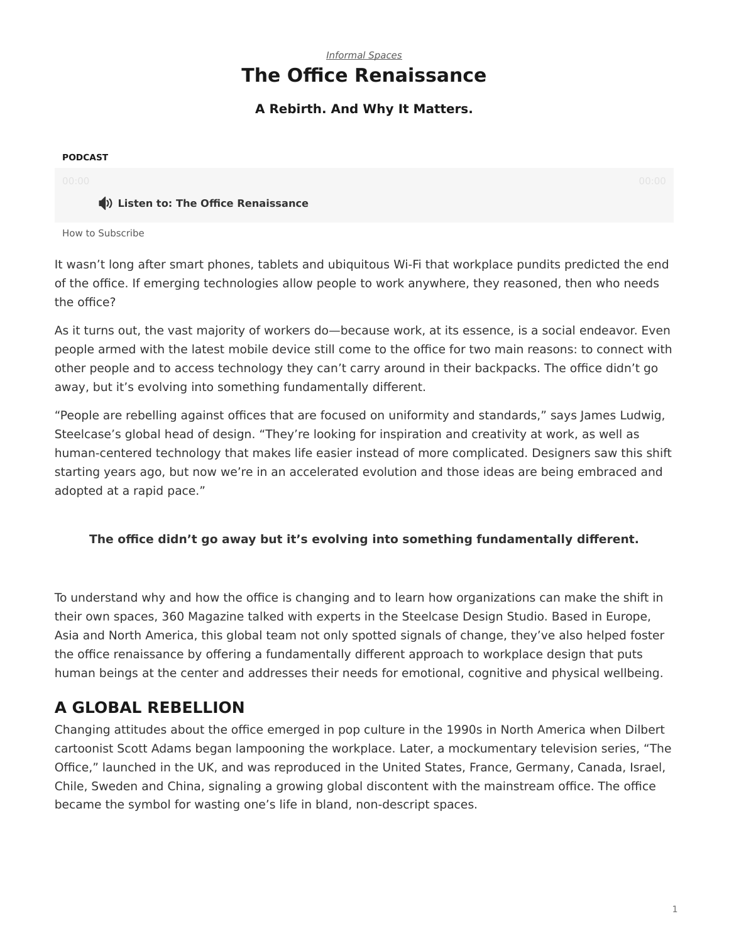## *[Informal Spaces](https://www.steelcase.com/research/topics/informal-spaces/)* **The Office Renaissance**

### **A Rebirth. And Why It Matters.**

#### <span id="page-0-0"></span>**PODCAST**

### **Listen to: The Office Renaissance**

[How to Subscribe](https://www.steelcase.com/360-real-time-podcasts-subscribe/)

It wasn't long after smart phones, tablets and ubiquitous Wi-Fi that workplace pundits predicted the end of the office. If emerging technologies allow people to work anywhere, they reasoned, then who needs the office?

As it turns out, the vast majority of workers do—because work, at its essence, is a social endeavor. Even people armed with the latest mobile device still come to the office for two main reasons: to connect with other people and to access technology they can't carry around in their backpacks. The office didn't go away, but it's evolving into something fundamentally different.

"People are rebelling against offices that are focused on uniformity and standards," says James Ludwig, Steelcase's global head of design. "They're looking for inspiration and creativity at work, as well as human-centered technology that makes life easier instead of more complicated. Designers saw this shift starting years ago, but now we're in an accelerated evolution and those ideas are being embraced and adopted at a rapid pace."

### **The office didn't go away but it's evolving into something fundamentally different.**

To understand why and how the office is changing and to learn how organizations can make the shift in their own spaces, 360 Magazine talked with experts in the Steelcase Design Studio. Based in Europe, Asia and North America, this global team not only spotted signals of change, they've also helped foster the office renaissance by offering a fundamentally different approach to workplace design that puts human beings at the center and addresses their needs for emotional, cognitive and physical wellbeing.

# **A GLOBAL REBELLION**

Changing attitudes about the office emerged in pop culture in the 1990s in North America when Dilbert cartoonist Scott Adams began lampooning the workplace. Later, a mockumentary television series, "The Office," launched in the UK, and was reproduced in the United States, France, Germany, Canada, Israel, Chile, Sweden and China, signaling a growing global discontent with the mainstream office. The office became the symbol for wasting one's life in bland, non-descript spaces.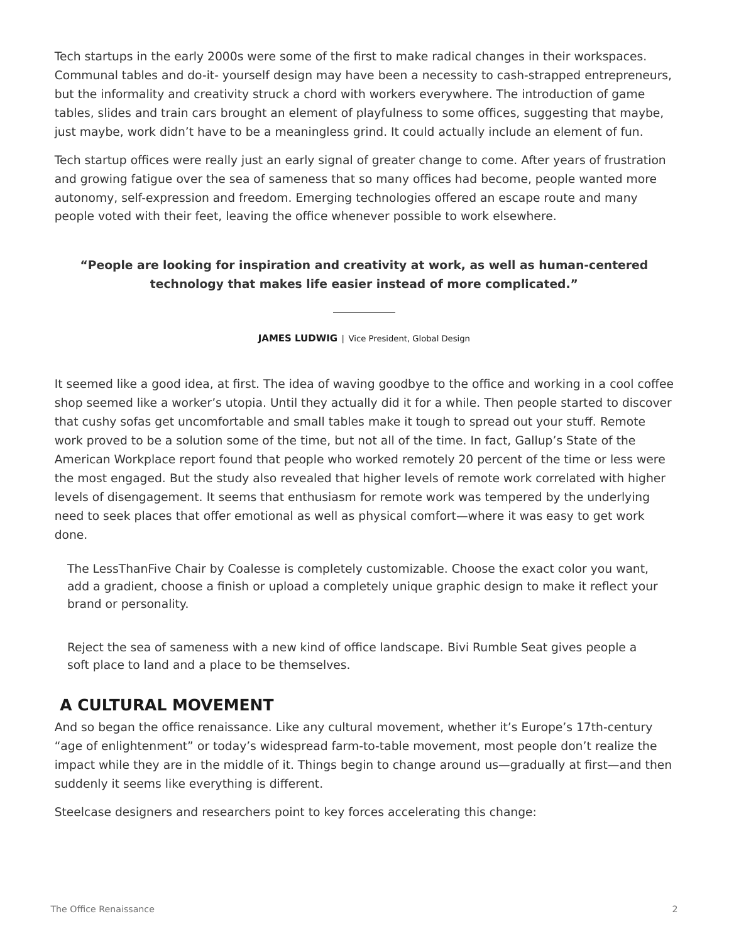Tech startups in the early 2000s were some of the first to make radical changes in their workspaces. Communal tables and do-it- yourself design may have been a necessity to cash-strapped entrepreneurs, but the informality and creativity struck a chord with workers everywhere. The introduction of game tables, slides and train cars brought an element of playfulness to some offices, suggesting that maybe, just maybe, work didn't have to be a meaningless grind. It could actually include an element of fun.

Tech startup offices were really just an early signal of greater change to come. After years of frustration and growing fatigue over the sea of sameness that so many offices had become, people wanted more autonomy, self-expression and freedom. Emerging technologies offered an escape route and many people voted with their feet, leaving the office whenever possible to work elsewhere.

## **"People are looking for inspiration and creativity at work, as well as human-centered technology that makes life easier instead of more complicated."**

**JAMES LUDWIG** | Vice President, Global Design

It seemed like a good idea, at first. The idea of waving goodbye to the office and working in a cool coffee shop seemed like a worker's utopia. Until they actually did it for a while. Then people started to discover that cushy sofas get uncomfortable and small tables make it tough to spread out your stuff. Remote work proved to be a solution some of the time, but not all of the time. In fact, Gallup's State of the American Workplace report found that people who worked remotely 20 percent of the time or less were the most engaged. But the study also revealed that higher levels of remote work correlated with higher levels of disengagement. It seems that enthusiasm for remote work was tempered by the underlying need to seek places that offer emotional as well as physical comfort—where it was easy to get work done.

The LessThanFive Chair by Coalesse is completely customizable. Choose the exact color you want, add a gradient, choose a finish or upload a completely unique graphic design to make it reflect your brand or personality.

Reject the sea of sameness with a new kind of office landscape. Bivi Rumble Seat gives people a soft place to land and a place to be themselves.

## **A CULTURAL MOVEMENT**

And so began the office renaissance. Like any cultural movement, whether it's Europe's 17th-century "age of enlightenment" or today's widespread farm-to-table movement, most people don't realize the impact while they are in the middle of it. Things begin to change around us—gradually at first—and then suddenly it seems like everything is different.

Steelcase designers and researchers point to key forces accelerating this change: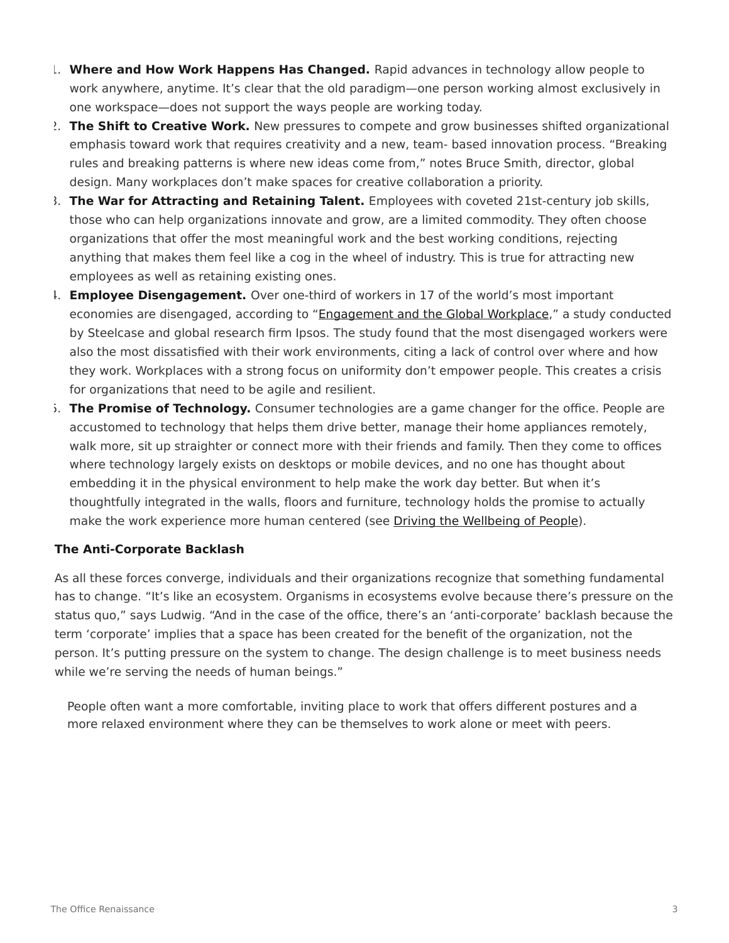- 1. **Where and How Work Happens Has Changed.** Rapid advances in technology allow people to work anywhere, anytime. It's clear that the old paradigm—one person working almost exclusively in one workspace—does not support the ways people are working today.
- 2. **The Shift to Creative Work.** New pressures to compete and grow businesses shifted organizational emphasis toward work that requires creativity and a new, team- based innovation process. "Breaking rules and breaking patterns is where new ideas come from," notes Bruce Smith, director, global design. Many workplaces don't make spaces for creative collaboration a priority.
- 3. **The War for Attracting and Retaining Talent.** Employees with coveted 21st-century job skills, those who can help organizations innovate and grow, are a limited commodity. They often choose organizations that offer the most meaningful work and the best working conditions, rejecting anything that makes them feel like a cog in the wheel of industry. This is true for attracting new employees as well as retaining existing ones.
- 4. **Employee Disengagement.** Over one-third of workers in 17 of the world's most important economies are disengaged, according to "[Engagement and the Global Workplace](http://hubs.ly/H02c2Tx0)," a study conducted by Steelcase and global research firm Ipsos. The study found that the most disengaged workers were also the most dissatisfied with their work environments, citing a lack of control over where and how they work. Workplaces with a strong focus on uniformity don't empower people. This creates a crisis for organizations that need to be agile and resilient.
- 5. **The Promise of Technology.** Consumer technologies are a game changer for the office. People are accustomed to technology that helps them drive better, manage their home appliances remotely, walk more, sit up straighter or connect more with their friends and family. Then they come to offices where technology largely exists on desktops or mobile devices, and no one has thought about embedding it in the physical environment to help make the work day better. But when it's thoughtfully integrated in the walls, floors and furniture, technology holds the promise to actually make the work experience more human centered (see [Driving the Wellbeing of People\)](https://www.steelcase.com/insights/articles/driving-the-wellbeing-of-people/).

### **The Anti-Corporate Backlash**

As all these forces converge, individuals and their organizations recognize that something fundamental has to change. "It's like an ecosystem. Organisms in ecosystems evolve because there's pressure on the status quo," says Ludwig. "And in the case of the office, there's an 'anti-corporate' backlash because the term 'corporate' implies that a space has been created for the benefit of the organization, not the person. It's putting pressure on the system to change. The design challenge is to meet business needs while we're serving the needs of human beings."

People often want a more comfortable, inviting place to work that offers different postures and a more relaxed environment where they can be themselves to work alone or meet with peers.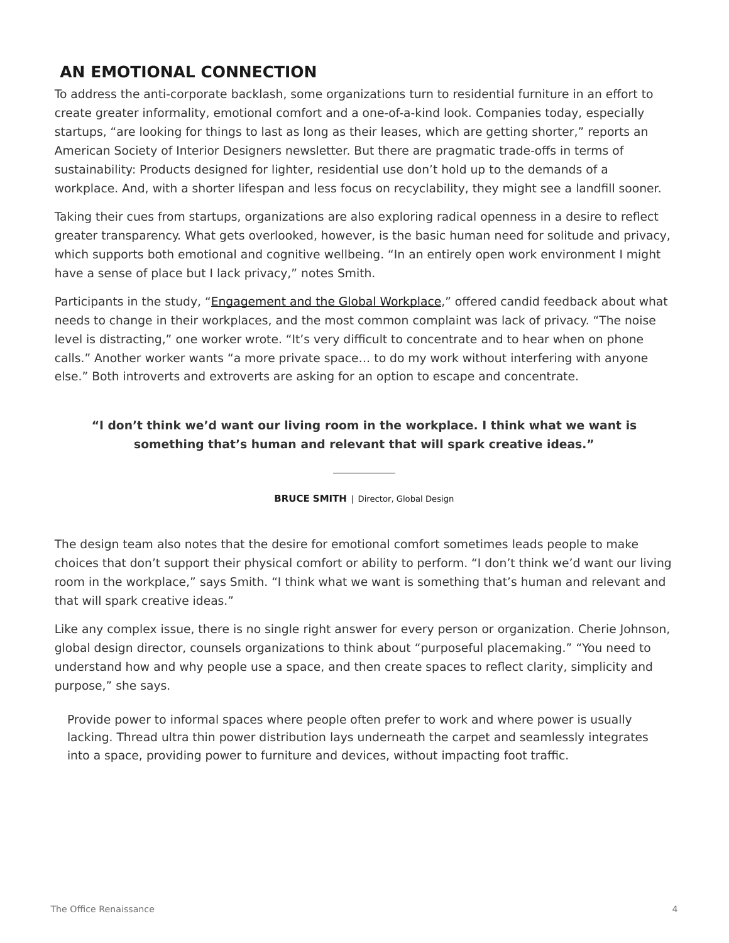# **AN EMOTIONAL CONNECTION**

To address the anti-corporate backlash, some organizations turn to residential furniture in an effort to create greater informality, emotional comfort and a one-of-a-kind look. Companies today, especially startups, "are looking for things to last as long as their leases, which are getting shorter," reports an American Society of Interior Designers newsletter. But there are pragmatic trade-offs in terms of sustainability: Products designed for lighter, residential use don't hold up to the demands of a workplace. And, with a shorter lifespan and less focus on recyclability, they might see a landfill sooner.

Taking their cues from startups, organizations are also exploring radical openness in a desire to reflect greater transparency. What gets overlooked, however, is the basic human need for solitude and privacy, which supports both emotional and cognitive wellbeing. "In an entirely open work environment I might have a sense of place but I lack privacy," notes Smith.

Participants in the study, ["Engagement and the Global Workplace,](http://hubs.ly/H02c2Tx0)" offered candid feedback about what needs to change in their workplaces, and the most common complaint was lack of privacy. "The noise level is distracting," one worker wrote. "It's very difficult to concentrate and to hear when on phone calls." Another worker wants "a more private space… to do my work without interfering with anyone else." Both introverts and extroverts are asking for an option to escape and concentrate.

### **"I don't think we'd want our living room in the workplace. I think what we want is something that's human and relevant that will spark creative ideas."**

**BRUCE SMITH** | Director, Global Design

The design team also notes that the desire for emotional comfort sometimes leads people to make choices that don't support their physical comfort or ability to perform. "I don't think we'd want our living room in the workplace," says Smith. "I think what we want is something that's human and relevant and that will spark creative ideas."

Like any complex issue, there is no single right answer for every person or organization. Cherie Johnson, global design director, counsels organizations to think about "purposeful placemaking." "You need to understand how and why people use a space, and then create spaces to reflect clarity, simplicity and purpose," she says.

Provide power to informal spaces where people often prefer to work and where power is usually lacking. Thread ultra thin power distribution lays underneath the carpet and seamlessly integrates into a space, providing power to furniture and devices, without impacting foot traffic.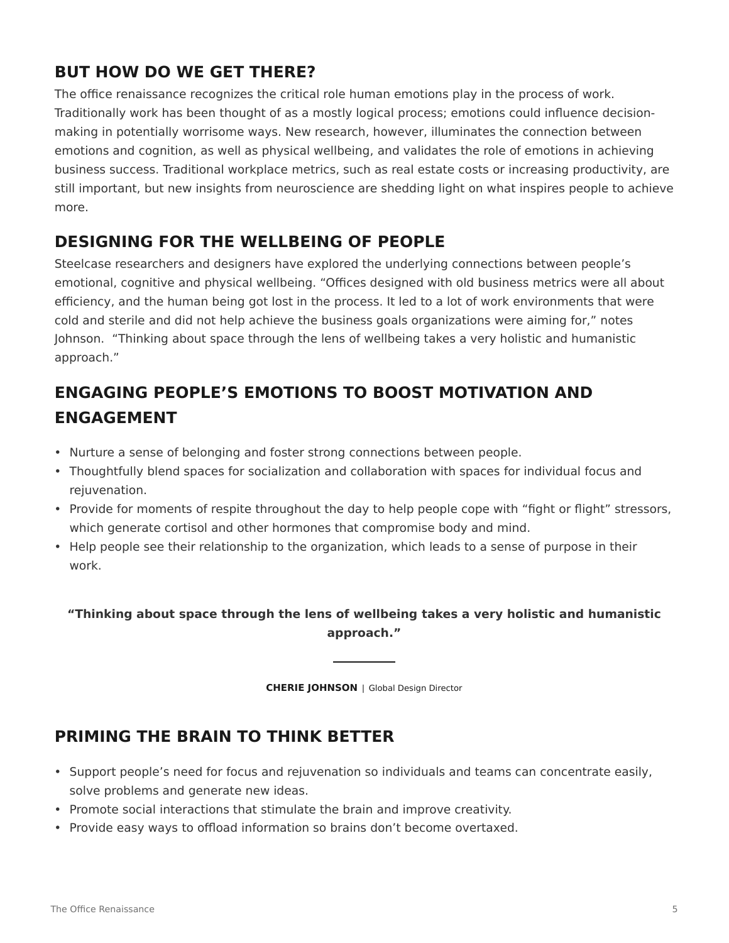## **BUT HOW DO WE GET THERE?**

The office renaissance recognizes the critical role human emotions play in the process of work. Traditionally work has been thought of as a mostly logical process; emotions could influence decisionmaking in potentially worrisome ways. New research, however, illuminates the connection between emotions and cognition, as well as physical wellbeing, and validates the role of emotions in achieving business success. Traditional workplace metrics, such as real estate costs or increasing productivity, are still important, but new insights from neuroscience are shedding light on what inspires people to achieve more.

# **DESIGNING FOR THE WELLBEING OF PEOPLE**

Steelcase researchers and designers have explored the underlying connections between people's emotional, cognitive and physical wellbeing. "Offices designed with old business metrics were all about efficiency, and the human being got lost in the process. It led to a lot of work environments that were cold and sterile and did not help achieve the business goals organizations were aiming for," notes Johnson. "Thinking about space through the lens of wellbeing takes a very holistic and humanistic approach."

# **ENGAGING PEOPLE'S EMOTIONS TO BOOST MOTIVATION AND ENGAGEMENT**

- Nurture a sense of belonging and foster strong connections between people.
- Thoughtfully blend spaces for socialization and collaboration with spaces for individual focus and rejuvenation.
- Provide for moments of respite throughout the day to help people cope with "fight or flight" stressors, which generate cortisol and other hormones that compromise body and mind.
- Help people see their relationship to the organization, which leads to a sense of purpose in their work.

## **"Thinking about space through the lens of wellbeing takes a very holistic and humanistic approach."**

**CHERIE JOHNSON** | Global Design Director

# **PRIMING THE BRAIN TO THINK BETTER**

- Support people's need for focus and rejuvenation so individuals and teams can concentrate easily, solve problems and generate new ideas.
- Promote social interactions that stimulate the brain and improve creativity.
- Provide easy ways to offload information so brains don't become overtaxed.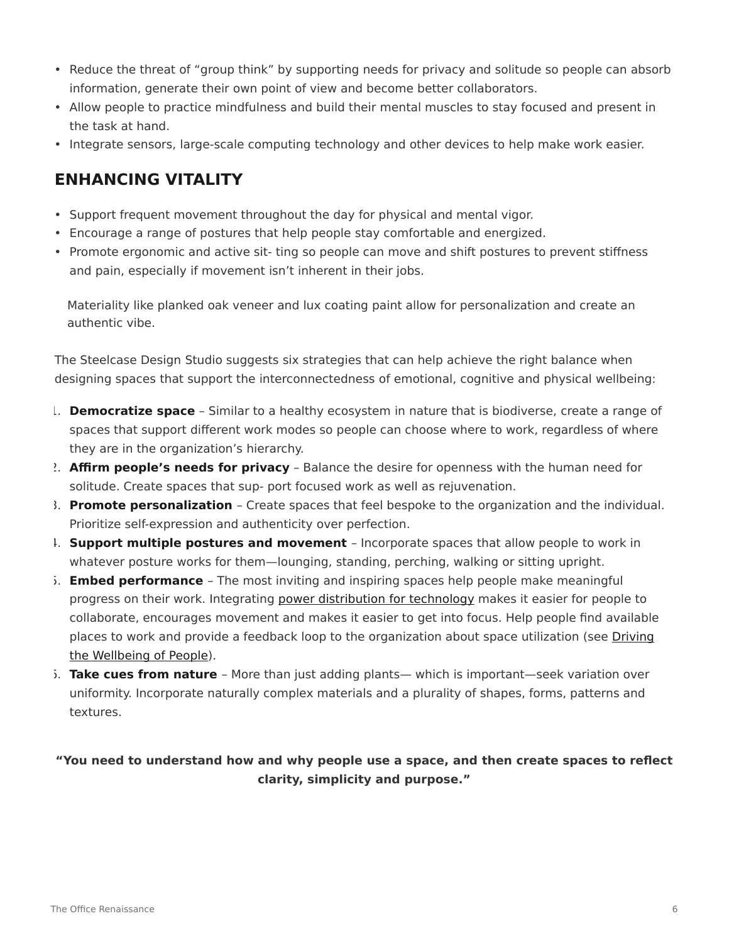- Reduce the threat of "group think" by supporting needs for privacy and solitude so people can absorb information, generate their own point of view and become better collaborators.
- Allow people to practice mindfulness and build their mental muscles to stay focused and present in the task at hand.
- Integrate sensors, large-scale computing technology and other devices to help make work easier.

## **ENHANCING VITALITY**

- Support frequent movement throughout the day for physical and mental vigor.
- Encourage a range of postures that help people stay comfortable and energized.
- Promote ergonomic and active sit- ting so people can move and shift postures to prevent stiffness and pain, especially if movement isn't inherent in their jobs.

Materiality like planked oak veneer and lux coating paint allow for personalization and create an authentic vibe.

The Steelcase Design Studio suggests six strategies that can help achieve the right balance when designing spaces that support the interconnectedness of emotional, cognitive and physical wellbeing:

- 1. **Democratize space** Similar to a healthy ecosystem in nature that is biodiverse, create a range of spaces that support different work modes so people can choose where to work, regardless of where they are in the organization's hierarchy.
- 2. **Affirm people's needs for privacy** Balance the desire for openness with the human need for solitude. Create spaces that sup- port focused work as well as rejuvenation.
- 3. **Promote personalization** Create spaces that feel bespoke to the organization and the individual. Prioritize self-expression and authenticity over perfection.
- 4. **Support multiple postures and movement** Incorporate spaces that allow people to work in whatever posture works for them—lounging, standing, perching, walking or sitting upright.
- 5. **Embed performance** The most inviting and inspiring spaces help people make meaningful progress on their work. Integrating [power distribution for technology](https://www.steelcase.com/research/articles/topics/technology/keeping-up-with-nec-changes-only-takes-a-thread/) makes it easier for people to collaborate, encourages movement and makes it easier to get into focus. Help people find available places to work and provide a feedback loop to the organization about space utilization (see [Driving](https://www.steelcase.com/insights/articles/driving-the-wellbeing-of-people/) [the Wellbeing of People\)](https://www.steelcase.com/insights/articles/driving-the-wellbeing-of-people/).
- 6. **Take cues from nature** More than just adding plants— which is important—seek variation over uniformity. Incorporate naturally complex materials and a plurality of shapes, forms, patterns and textures.

## **"You need to understand how and why people use a space, and then create spaces to reflect clarity, simplicity and purpose."**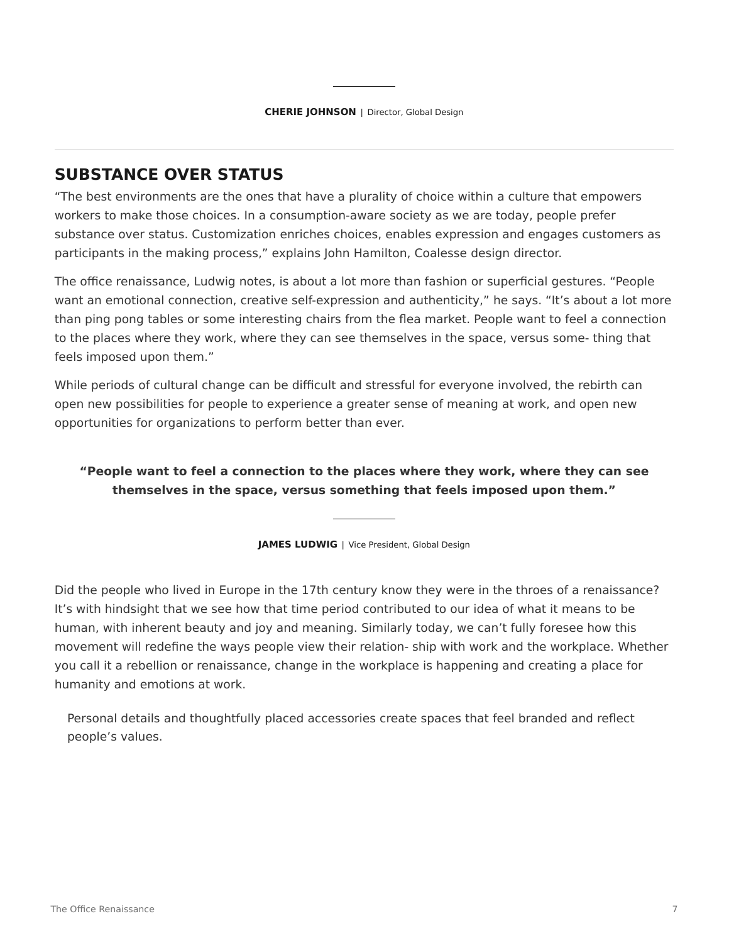## **SUBSTANCE OVER STATUS**

"The best environments are the ones that have a plurality of choice within a culture that empowers workers to make those choices. In a consumption-aware society as we are today, people prefer substance over status. Customization enriches choices, enables expression and engages customers as participants in the making process," explains John Hamilton, Coalesse design director.

The office renaissance, Ludwig notes, is about a lot more than fashion or superficial gestures. "People want an emotional connection, creative self-expression and authenticity," he says. "It's about a lot more than ping pong tables or some interesting chairs from the flea market. People want to feel a connection to the places where they work, where they can see themselves in the space, versus some- thing that feels imposed upon them."

While periods of cultural change can be difficult and stressful for everyone involved, the rebirth can open new possibilities for people to experience a greater sense of meaning at work, and open new opportunities for organizations to perform better than ever.

## **"People want to feel a connection to the places where they work, where they can see themselves in the space, versus something that feels imposed upon them."**

**JAMES LUDWIG** | Vice President, Global Design

Did the people who lived in Europe in the 17th century know they were in the throes of a renaissance? It's with hindsight that we see how that time period contributed to our idea of what it means to be human, with inherent beauty and joy and meaning. Similarly today, we can't fully foresee how this movement will redefine the ways people view their relation- ship with work and the workplace. Whether you call it a rebellion or renaissance, change in the workplace is happening and creating a place for humanity and emotions at work.

Personal details and thoughtfully placed accessories create spaces that feel branded and reflect people's values.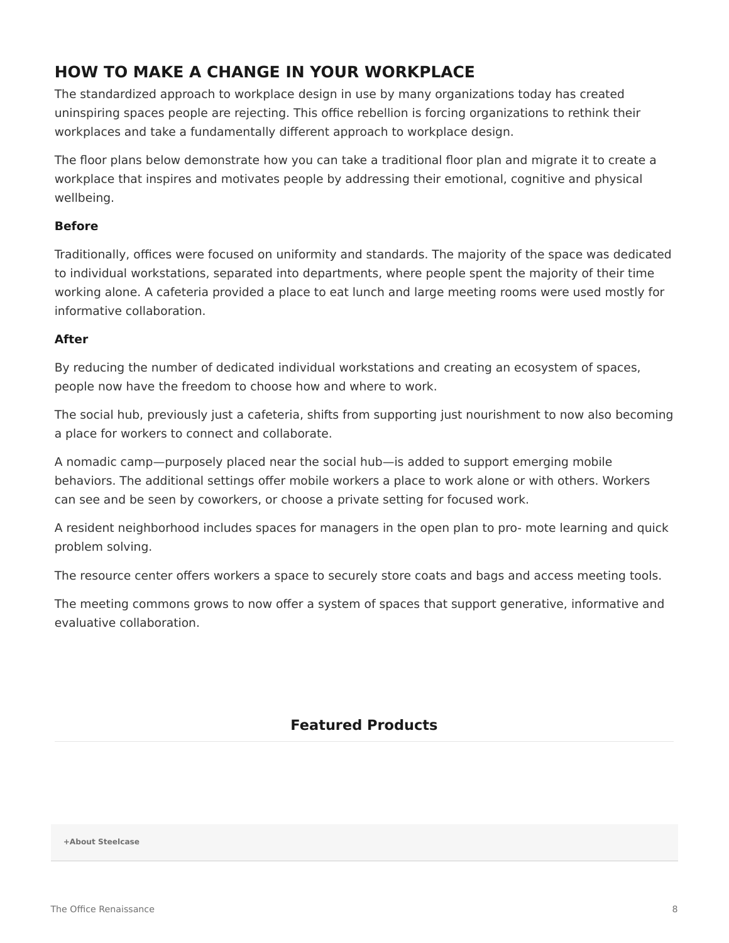## **HOW TO MAKE A CHANGE IN YOUR WORKPLACE**

The standardized approach to workplace design in use by many organizations today has created uninspiring spaces people are rejecting. This office rebellion is forcing organizations to rethink their workplaces and take a fundamentally different approach to workplace design.

The floor plans below demonstrate how you can take a traditional floor plan and migrate it to create a workplace that inspires and motivates people by addressing their emotional, cognitive and physical wellbeing.

### **Before**

Traditionally, offices were focused on uniformity and standards. The majority of the space was dedicated to individual workstations, separated into departments, where people spent the majority of their time working alone. A cafeteria provided a place to eat lunch and large meeting rooms were used mostly for informative collaboration.

### **After**

By reducing the number of dedicated individual workstations and creating an ecosystem of spaces, people now have the freedom to choose how and where to work.

The social hub, previously just a cafeteria, shifts from supporting just nourishment to now also becoming a place for workers to connect and collaborate.

A nomadic camp—purposely placed near the social hub—is added to support emerging mobile behaviors. The additional settings offer mobile workers a place to work alone or with others. Workers can see and be seen by coworkers, or choose a private setting for focused work.

A resident neighborhood includes spaces for managers in the open plan to pro- mote learning and quick problem solving.

The resource center offers workers a space to securely store coats and bags and access meeting tools.

The meeting commons grows to now offer a system of spaces that support generative, informative and evaluative collaboration.

## **Featured Products**

**[+About Steelcase](https://www.steelcase.com/discover/steelcase/our-company/)**